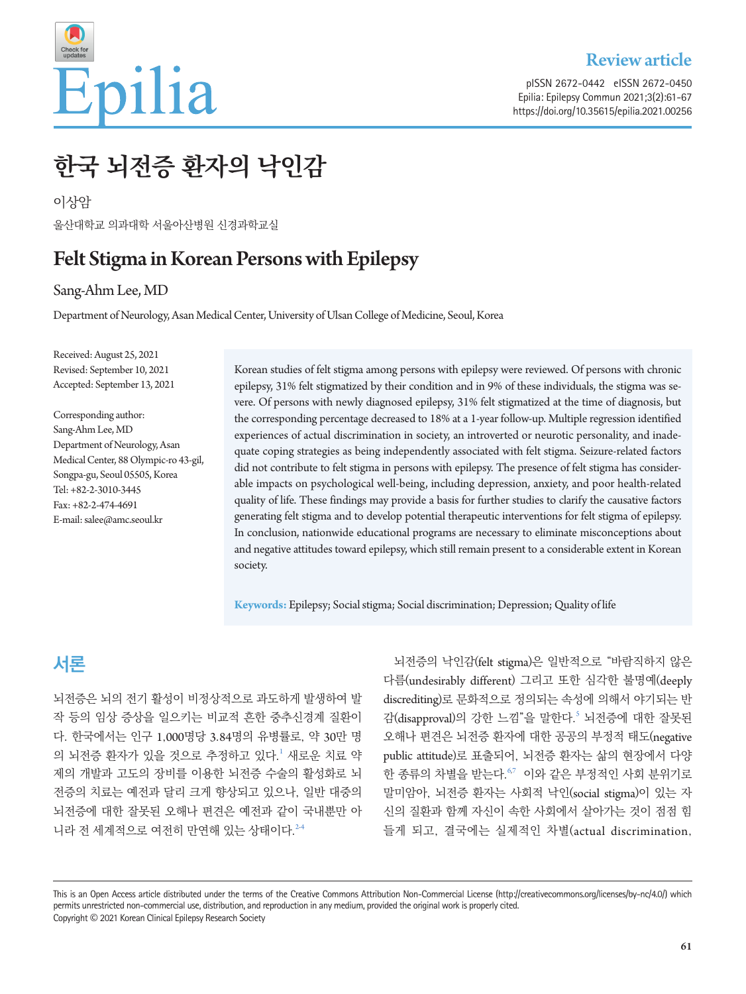

pISSN 2672-0442 eISSN 2672-0450 Epilia: Epilepsy Commun 2021;3(2):61-67 https://doi.org/10.35615/epilia.2021.00256

# **한국 뇌전증 환자의 낙인감**

이상암 울산대학교 의과대학 서울아산병원 신경과학교실

# Felt Stigma in Korean Persons with Epilepsy

Sang-Ahm Lee, MD

Department of Neurology, Asan Medical Center, University of Ulsan College of Medicine, Seoul, Korea

Received: August 25, 2021 Revised: September 10, 2021 Accepted: September 13, 2021

Corresponding author: Sang-Ahm Lee, MD Department of Neurology, Asan Medical Center, 88 Olympic-ro 43-gil, Songpa-gu, Seoul 05505, Korea Tel: +82-2-3010-3445 Fax: +82-2-474-4691 E-mail: salee@amc.seoul.kr

Korean studies of felt stigma among persons with epilepsy were reviewed. Of persons with chronic epilepsy, 31% felt stigmatized by their condition and in 9% of these individuals, the stigma was severe. Of persons with newly diagnosed epilepsy, 31% felt stigmatized at the time of diagnosis, but the corresponding percentage decreased to 18% at a 1-year follow-up. Multiple regression identified experiences of actual discrimination in society, an introverted or neurotic personality, and inadequate coping strategies as being independently associated with felt stigma. Seizure-related factors did not contribute to felt stigma in persons with epilepsy. The presence of felt stigma has considerable impacts on psychological well-being, including depression, anxiety, and poor health-related quality of life. These findings may provide a basis for further studies to clarify the causative factors generating felt stigma and to develop potential therapeutic interventions for felt stigma of epilepsy. In conclusion, nationwide educational programs are necessary to eliminate misconceptions about and negative attitudes toward epilepsy, which still remain present to a considerable extent in Korean society.

**Keywords:** Epilepsy; Social stigma; Social discrimination; Depression; Quality of life

# **서론**

뇌전증은 뇌의 전기 활성이 비정상적으로 과도하게 발생하여 발 작 등의 임상 증상을 일으키는 비교적 흔한 중추신경계 질환이 다. 한국에서는 인구 1,000명당 3.84명의 유병률로, 약 30만 명 의 뇌전증 환자가 있을 것으로 추정하고 있다.' 새로운 치료 약 제의 개발과 고도의 장비를 이용한 뇌전증 수술의 활성화로 뇌 전증의 치료는 예전과 달리 크게 향상되고 있으나, 일반 대중의 뇌전증에 대한 잘못된 오해나 편견은 예전과 같이 국내뿐만 아 니라 전 세계적으로 여전히 만연해 있는 상태이다.<sup>[2](#page-5-1)4</sup>

뇌전증의 낙인감(felt stigma)은 일반적으로 "바람직하지 않은 다름(undesirably different) 그리고 또한 심각한 불명예(deeply discrediting)로 문화적으로 정의되는 속성에 의해서 야기되는 반 감(disapproval)의 강한 느낌"을 말한다. [5](#page-5-3) 뇌전증에 대한 잘못된 오해나 편견은 뇌전증 환자에 대한 공공의 부정적 태도(negative public attitude)로 표출되어, 뇌전증 환자는 삶의 현장에서 다양 한 종류의 차별을 받는다. [6](#page-5-4)7 이와 같은 부정적인 사회 분위기로 말미암아, 뇌전증 환자는 사회적 낙인(social stigma)이 있는 자 신의 질환과 함께 자신이 속한 사회에서 살아가는 것이 점점 힘 들게 되고, 결국에는 실제적인 차별(actual discrimination,

This is an Open Access article distributed under the terms of the Creative Commons Attribution Non-Commercial License (http://creativecommons.org/licenses/by-nc/4.0/) which permits unrestricted non-commercial use, distribution, and reproduction in any medium, provided the original work is properly cited. Copyright © 2021 Korean Clinical Epilepsy Research Society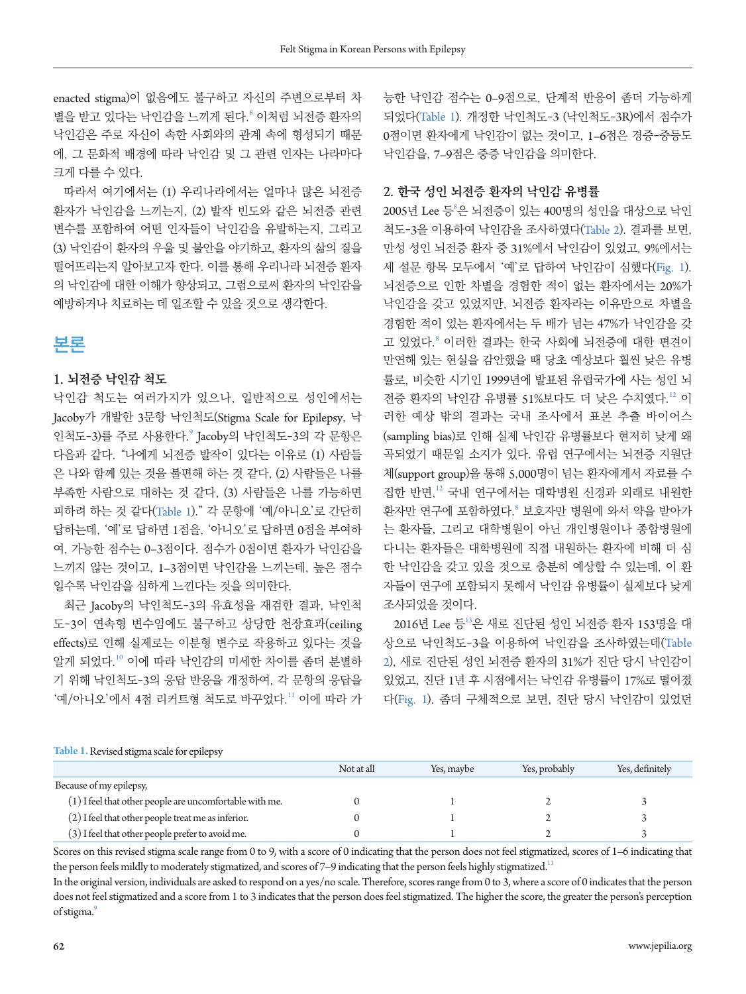enacted stigma)이 없음에도 불구하고 자신의 주변으로부터 차 별을 받고 있다는 낙인감을 느끼게 된다. ° 이처럼 뇌전증 환자의 낙인감은 주로 자신이 속한 사회와의 관계 속에 형성되기 때문 에, 그 문화적 배경에 따라 낙인감 및 그 관련 인자는 나라마다 크게 다를 수 있다.

따라서 여기에서는 (1) 우리나라에서는 얼마나 많은 뇌전증 환자가 낙인감을 느끼는지, (2) 발작 빈도와 같은 뇌전증 관련 변수를 포함하여 어떤 인자들이 낙인감을 유발하는지, 그리고 (3) 낙인감이 환자의 우울 및 불안을 야기하고, 환자의 삶의 질을 떨어뜨리는지 알아보고자 한다. 이를 통해 우리나라 뇌전증 환자 의 낙인감에 대한 이해가 향상되고, 그럼으로써 환자의 낙인감을 예방하거나 치료하는 데 일조할 수 있을 것으로 생각한다.

## **본론**

#### **1. 뇌전증 낙인감 척도**

낙인감 척도는 여러가지가 있으나, 일반적으로 성인에서는 Jacoby가 개발한 3문항 낙인척도(Stigma Scale for Epilepsy, 낙 인척도-3)를 주로 사용한다.<br>[9](#page-6-0) Jacoby의 낙인척도-3의 각 문항은 다음과 같다. "나에게 뇌전증 발작이 있다는 이유로 (1) 사람들 은 나와 함께 있는 것을 불편해 하는 것 같다, (2) 사람들은 나를 부족한 사람으로 대하는 것 같다, (3) 사람들은 나를 가능하면 피하려 하는 것 같다([Table](#page-1-0) 1)." 각 문항에 '예/아니오'로 간단히 답하는데, '예'로 답하면 1점을, '아니오'로 답하면 0점을 부여하 여, 가능한 점수는 0–3점이다. 점수가 0점이면 환자가 낙인감을 느끼지 않는 것이고, 1–3점이면 낙인감을 느끼는데, 높은 점수 일수록 낙인감을 심하게 느낀다는 것을 의미한다.

최근 Jacoby의 낙인척도-3의 유효성을 재검한 결과, 낙인척 도-3이 연속형 변수임에도 불구하고 상당한 천장효과(ceiling effects)로 인해 실제로는 이분형 변수로 작용하고 있다는 것을 알게 되었다.[10](#page-6-1) 이에 따라 낙인감의 미세한 차이를 좀더 분별하 기 위해 낙인척도-3의 응답 반응을 개정하여, 각 문항의 응답을 '예/아니오'에서 4점 리커트형 척도로 바꾸었다." 이에 따라 가 능한 낙인감 점수는 0–9점으로, 단계적 반응이 좀더 가능하게 되었다([Table](#page-1-0) 1). 개정한 낙인척도-3 (낙인척도-3R)에서 점수가 0점이면 환자에게 낙인감이 없는 것이고, 1–6점은 경증-중등도 낙인감을, 7–9점은 중증 낙인감을 의미한다.

#### **2. 한국 성인 뇌전증 환자의 낙인감 유병률**

2005년 Lee 등®은 뇌전증이 있는 400명의 성인을 대상으로 낙인 척도-3을 이용하여 낙인감을 조사하였다([Table](#page-2-0) 2). 결과를 보면, 만성 성인 뇌전증 환자 중 31%에서 낙인감이 있었고, 9%에서는 세 설문 항목 모두에서 '예'로 답하여 낙인감이 심했다([Fig](#page-6-3). 1). 뇌전증으로 인한 차별을 경험한 적이 없는 환자에서는 20%가 낙인감을 갖고 있었지만, 뇌전증 환자라는 이유만으로 차별을 경험한 적이 있는 환자에서는 두 배가 넘는 47%가 낙인감을 갖 고 있었다.<sup>8</sup> 이러한 결과는 한국 사회에 뇌전증에 대한 편견이 만연해 있는 현실을 감안했을 때 당초 예상보다 훨씬 낮은 유병 률로, 비슷한 시기인 1999년에 발표된 유럽국가에 사는 성인 뇌 전증 환자의 낙인감 유병률 51%보다도 더 낮은 수치였다.<sup>[12](#page-5-6)</sup> 이 러한 예상 밖의 결과는 국내 조사에서 표본 추출 바이어스 (sampling bias)로 인해 실제 낙인감 유병률보다 현저히 낮게 왜 곡되었기 때문일 소지가 있다. 유럽 연구에서는 뇌전증 지원단 체(support group)을 통해 5,000명이 넘는 환자에게서 자료를 수 집한 반면,[12](#page-5-6) 국내 연구에서는 대학병원 신경과 외래로 내원한 환자만 연구에 포함하였다.<sup>8</sup> 보호자만 병원에 와서 약을 받아가 는 환자들, 그리고 대학병원이 아닌 개인병원이나 종합병원에 다니는 환자들은 대학병원에 직접 내원하는 환자에 비해 더 심 한 낙인감을 갖고 있을 것으로 충분히 예상할 수 있는데, 이 환 자들이 연구에 포함되지 못해서 낙인감 유병률이 실제보다 낮게 조사되었을 것이다.

2016년 Lee 등<sup>[13](#page-6-0)</sup>은 새로 진단된 성인 뇌전증 환자 153명을 대 상으로 낙인척도-3을 이용하여 낙인감을 조사하였는데([Table](#page-2-0) [2](#page-2-0)), 새로 진단된 성인 뇌전증 환자의 31%가 진단 당시 낙인감이 있었고, 진단 1년 후 시점에서는 낙인감 유병률이 17%로 떨어졌 다([Fig](#page-6-3). 1). 좀더 구체적으로 보면, 진단 당시 낙인감이 있었던

#### <span id="page-1-0"></span>Table 1. Revised stigma scale for epilepsy

|                                                           | Not at all | Yes, maybe | Yes, probably | Yes, definitely |
|-----------------------------------------------------------|------------|------------|---------------|-----------------|
| Because of my epilepsy,                                   |            |            |               |                 |
| $(1)$ I feel that other people are uncomfortable with me. |            |            |               |                 |
| (2) I feel that other people treat me as inferior.        |            |            |               |                 |
| (3) I feel that other people prefer to avoid me.          |            |            |               |                 |

Scores on this revised stigma scale range from 0 to 9, with a score of 0 indicating that the person does not feel stigmatized, scores of 1–6 indicating that the person feels mildly to moderately stigmatized, and scores of 7-9 indicating that the person feels highly stigmatized.<sup>11</sup>

In the original version, individuals are asked to respond on a yes/no scale. Therefore, scores range from 0 to 3, where a score of 0 indicates that the person does not feel stigmatized and a score from 1 to 3 indicates that the person does feel stigmatized. The higher the score, the greater the person's perception of stigma.<sup>9</sup>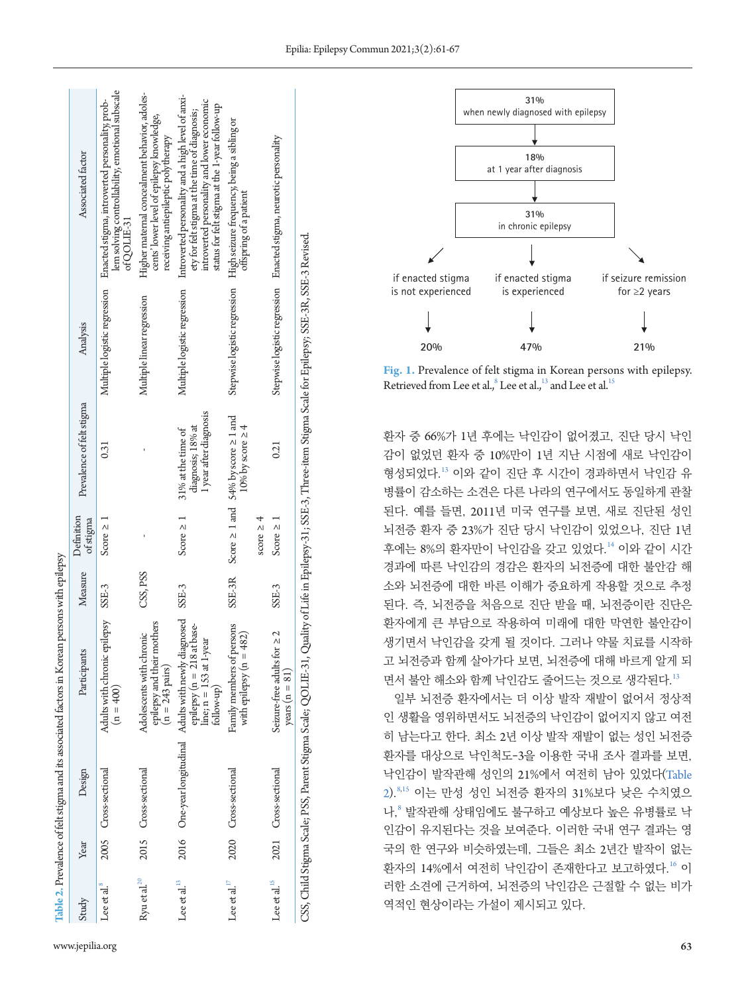|                         |      |                      | Table 2. Prevalence of felt stigma and its associated factors in Korean persons with epilepsy                                                                    |          |                         |                                                                          |                              |                                                                                                                                                                                                    |
|-------------------------|------|----------------------|------------------------------------------------------------------------------------------------------------------------------------------------------------------|----------|-------------------------|--------------------------------------------------------------------------|------------------------------|----------------------------------------------------------------------------------------------------------------------------------------------------------------------------------------------------|
| Study                   | Year | Design               | Participants                                                                                                                                                     | Measure  | Definition<br>of stigma | Prevalence of felt stigma                                                | Analysis                     | Associated factor                                                                                                                                                                                  |
| Lee et al. <sup>8</sup> |      | 2005 Cross-sectional | Adults with chronic epilepsy<br>$(n = 400)$                                                                                                                      | SSE-3    | Score $\geq 1$          | 0.31                                                                     | Multiple logistic regression | lem solving controllability, emotional subscale<br>Enacted stigma, introverted personality, prob-<br>ofQOLIE-31                                                                                    |
| Ryuetal. <sup>20</sup>  |      | 2015 Cross-sectional | others<br>Adolescents with chronic<br>epilepsy and their m-<br>$(n = 243 \text{ pairs})$                                                                         | CSS, PSS |                         |                                                                          | Multiple linear regression   | Higher maternal concealment behavior, adoles-<br>cents' lower level of epilepsy knowledge,<br>receiving antiepileptic polytherapy                                                                  |
| Lee et al. $^{13}$      |      |                      | 2016 One-year longitudinal Adults with newly diagnosed SSE-3<br>epilepsy (n = 218 at base-<br>line; $n = 153$ at 1-year<br>follow-up)                            |          | Score $\geq 1$          | 1 year after diagnosis<br>diagnosis; 18% at<br>31% at the time of        | Multiple logistic regression | Introverted personality and a high level of anxi-<br>introverted personality and lower economic<br>status for felt stigma at the 1-year follow-up<br>ety for felt stigma at the time of diagnosis; |
| Lee et al. $^{17}$      |      | 2020 Cross-sectional | Family members of persons<br>with epilepsy $(n = 482)$                                                                                                           | SSE-3R   | score $\geq 4$          | Score $\geq 1$ and 54% by score $\geq 1$ and<br>$10\%$ by score $\geq 4$ | Stepwise logistic regression | High seizure frequency, being a sibling or<br>offspring of a patient                                                                                                                               |
| Lee et al. $^{15}$      |      | 2021 Cross-sectional | Seizure-free adults for $\geq 2$<br>years $(n = 81)$                                                                                                             | $SSE-3$  | Score $\geq 1$          | 0.21                                                                     |                              | Stepwise logistic regression Enacted stigma, neurotic personality                                                                                                                                  |
|                         |      |                      | CSS, Child Stigma Scale; PSS, Parent Stigma Scale; QQLIE-31, Quality of Life in Epilepsy-31; SSE-3, Three-item Stigma Scale for Epilepsy; SSE-3R, SSE-3 Revised. |          |                         |                                                                          |                              |                                                                                                                                                                                                    |

**31%** when newly diagnosed with epilepsy **18%** at 1 year after diagnosis **31%**  in chronic epilepsy if enacted stigma is not experienced **20% 47% 21%** if enacted stigma is experienced if seizure remission for ≥2 years

**Fig. 1.** Prevalence of felt stigma in Korean persons with epilepsy. Retrieved from Lee et al., $^8$  Lee et al., $^{13}$  and Lee et al.<sup>[15](#page-6-7)</sup>

환자 중 66%가 1년 후에는 낙인감이 없어졌고, 진단 당시 낙인 감이 없었던 환자 중 10%만이 1년 지난 시점에 새로 낙인감이 형성되었다.[13](#page-6-0) 이와 같이 진단 후 시간이 경과하면서 낙인감 유 병률이 감소하는 소견은 다른 나라의 연구에서도 동일하게 관찰 된다. 예를 들면, 2011년 미국 연구를 보면, 새로 진단된 성인 뇌전증 환자 중 23%가 진단 당시 낙인감이 있었으나, 진단 1년 후에는 8%의 환자만이 낙인감을 갖고 있었다.[14](#page-6-8) 이와 같이 시간 경과에 따른 낙인감의 경감은 환자의 뇌전증에 대한 불안감 해 소와 뇌전증에 대한 바른 이해가 중요하게 작용할 것으로 추정 된다. 즉, 뇌전증을 처음으로 진단 받을 때, 뇌전증이란 진단은 환자에게 큰 부담으로 작용하여 미래에 대한 막연한 불안감이 생기면서 낙인감을 갖게 될 것이다. 그러나 약물 치료를 시작하 고 뇌전증과 함께 살아가다 보면, 뇌전증에 대해 바르게 알게 되 면서 불안 해소와 함께 낙이갂도 줄어드는 것으로 생각된다.[13](#page-6-0)

<span id="page-2-0"></span>일부 뇌전증 환자에서는 더 이상 발작 재발이 없어서 정상적 인 생활을 영위하면서도 뇌전증의 낙인감이 없어지지 않고 여전 히 남는다고 한다. 최소 2년 이상 발작 재발이 없는 성인 뇌전증 환자를 대상으로 낙인척도-3을 이용한 국내 조사 결과를 보면, 낙인감이 발작관해 성인의 21%에서 여전히 남아 있었다([Table](#page-2-0) [2](#page-2-0)).8[,15](#page-6-2) 이는 만성 성인 뇌전증 환자의 31%보다 낮은 수치였으 나,<sup>8</sup> 발작관해 상태임에도 불구하고 예상보다 높은 유병률로 낙 인감이 유지된다는 것을 보여준다. 이러한 국내 연구 결과는 영 국의 한 연구와 비슷하였는데, 그들은 최소 2년간 발작이 없는 환자의 14%에서 여전히 낙인감이 존재한다고 보고하였다.[16](#page-6-9) 이 러한 소견에 근거하여, 뇌전증의 낙인감은 근절할 수 없는 비가 역적인 현상이라는 가설이 제시되고 있다.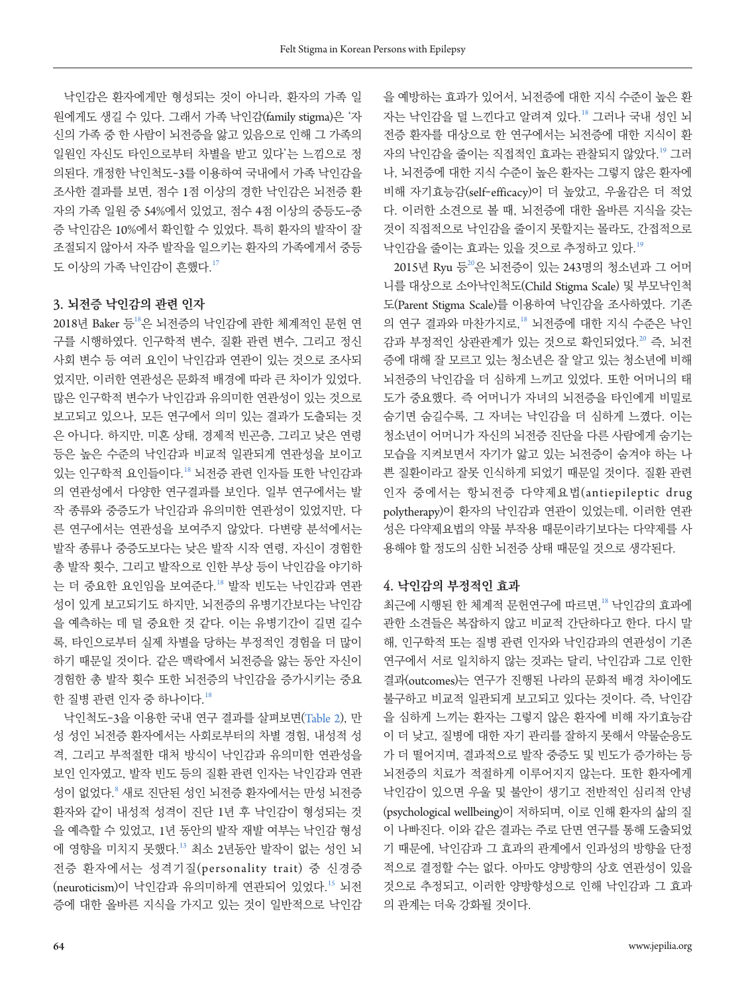낙인감은 환자에게만 형성되는 것이 아니라, 환자의 가족 일 원에게도 생길 수 있다. 그래서 가족 낙인감(family stigma)은 '자 신의 가족 중 한 사람이 뇌전증을 앓고 있음으로 인해 그 가족의 일원인 자신도 타인으로부터 차별을 받고 있다'는 느낌으로 정 의된다. 개정한 낙인척도-3를 이용하여 국내에서 가족 낙인감을 조사한 결과를 보면, 점수 1점 이상의 경한 낙인감은 뇌전증 환 자의 가족 일원 중 54%에서 있었고, 점수 4점 이상의 중등도-중 증 낙인감은 10%에서 확인할 수 있었다. 특히 환자의 발작이 잘 조절되지 않아서 자주 발작을 일으키는 환자의 가족에게서 중등 도 이상의 가족 낙인감이 흔했다. $17$ 

#### **3. 뇌전증 낙인감의 관련 인자**

20[18](#page-6-8)년 Baker 등<sup>18</sup>은 뇌전증의 낙인감에 관한 체계적인 문헌 연 구를 시행하였다. 인구학적 변수, 질환 관련 변수, 그리고 정신 사회 변수 등 여러 요인이 낙인감과 연관이 있는 것으로 조사되 었지만, 이러한 연관성은 문화적 배경에 따라 큰 차이가 있었다. 많은 인구학적 변수가 낙인감과 유의미한 연관성이 있는 것으로 보고되고 있으나, 모든 연구에서 의미 있는 결과가 도출되는 것 은 아니다. 하지만, 미혼 상태, 경제적 빈곤층, 그리고 낮은 연령 등은 높은 수준의 낙인감과 비교적 일관되게 연관성을 보이고 있는 인구학적 요인들이다.[18](#page-6-8) 뇌전증 관련 인자들 또한 낙인감과 의 연관성에서 다양한 연구결과를 보인다. 일부 연구에서는 발 작 종류와 중증도가 낙인감과 유의미한 연관성이 있었지만, 다 른 연구에서는 연관성을 보여주지 않았다. 다변량 분석에서는 발작 종류나 중증도보다는 낮은 발작 시작 연령, 자신이 경험한 총 발작 횟수, 그리고 발작으로 인한 부상 등이 낙인감을 야기하 는 더 중요한 요인임을 보여준다.[18](#page-6-8) 발작 빈도는 낙인감과 연관 성이 있게 보고되기도 하지만, 뇌전증의 유병기간보다는 낙인감 을 예측하는 데 덜 중요한 것 같다. 이는 유병기간이 길면 길수 록, 타인으로부터 실제 차별을 당하는 부정적인 경험을 더 많이 하기 때문일 것이다. 같은 맥락에서 뇌전증을 앓는 동안 자신이 경험한 총 발작 횟수 또한 뇌전증의 낙인감을 증가시키는 중요 한 질병 관련 인자 중 하나이다.<sup>18</sup>

낙인척도-3을 이용한 국내 연구 결과를 살펴보면(Table 2), 만 성 성인 뇌전증 환자에서는 사회로부터의 차별 경험, 내성적 성 격, 그리고 부적절한 대처 방식이 낙인감과 유의미한 연관성을 보인 인자였고, 발작 빈도 등의 질환 관련 인자는 낙인감과 연관 성이 없었다. <sup>8</sup> 새로 진단된 성인 뇌전증 환자에서는 만성 뇌전증 환자와 같이 내성적 성격이 진단 1년 후 낙인감이 형성되는 것 을 예측할 수 있었고, 1년 동안의 발작 재발 여부는 낙인감 형성 에 영향을 미치지 못했다.<sup>13</sup> 최소 2년동안 발작이 없는 성인 뇌 전증 환자에서는 성격기질(personality trait) 중 신경증 (neuroticism)이 낙인감과 유의미하게 연관되어 있었다.<sup>15</sup> 뇌전 증에 대한 올바른 지식을 가지고 있는 것이 일반적으로 낙인감

을 예방하는 효과가 있어서, 뇌전증에 대한 지식 수준이 높은 환 자는 낙인감을 덜 느낀다고 알려져 있다.<sup>18</sup> 그러나 국내 성인 뇌 전증 환자를 대상으로 한 연구에서는 뇌전증에 대한 지식이 환 자의 낙인감을 줄이는 직접적인 효과는 관찰되지 않았다.[19](#page-6-7) 그러 나, 뇌전증에 대한 지식 수준이 높은 환자는 그렇지 않은 환자에 비해 자기효능감(self-efficacy)이 더 높았고, 우울감은 더 적었 다. 이러한 소견으로 볼 때, 뇌전증에 대한 올바른 지식을 갖는 것이 직접적으로 낙인감을 줄이지 못할지는 몰라도, 간접적으로 낙인감을 줄이는 효과는 있을 것으로 추정하고 있다.[19](#page-6-7)

[20](#page-6-4)15년 Ryu 등 <sup>20</sup>은 뇌전증이 있는 243명의 청소년과 그 어머 니를 대상으로 소아낙인척도(Child Stigma Scale) 및 부모낙인척 도(Parent Stigma Scale)를 이용하여 낙인감을 조사하였다. 기존 의 연구 결과와 마찬가지로,<sup>18</sup> 뇌전증에 대한 지식 수준은 낙인 감과 부정적인 상관관계가 있는 것으로 확인되었다.<sup>[20](#page-6-4)</sup> 즉, 뇌전 증에 대해 잘 모르고 있는 청소년은 잘 알고 있는 청소년에 비해 뇌전증의 낙인감을 더 심하게 느끼고 있었다. 또한 어머니의 태 도가 중요했다. 즉 어머니가 자녀의 뇌전증을 타인에게 비밀로 숨기면 숨길수록, 그 자녀는 낙인감을 더 심하게 느꼈다. 이는 청소년이 어머니가 자신의 뇌전증 진단을 다른 사람에게 숨기는 모습을 지켜보면서 자기가 앓고 있는 뇌전증이 숨겨야 하는 나 쁜 질환이라고 잘못 인식하게 되었기 때문일 것이다. 질환 관련 인자 중에서는 항뇌전증 다약제요법(antiepileptic drug polytherapy)이 환자의 낙인감과 연관이 있었는데, 이러한 연관 성은 다약제요법의 약물 부작용 때문이라기보다는 다약제를 사 용해야 할 정도의 심한 뇌전증 상태 때문일 것으로 생각된다.

#### **4. 낙인감의 부정적인 효과**

최근에 시행된 한 체계적 문헌연구에 따르면,<sup>18</sup> 낙인감의 효과에 관한 소견들은 복잡하지 않고 비교적 간단하다고 한다. 다시 말 해, 인구학적 또는 질병 관련 인자와 낙인감과의 연관성이 기존 연구에서 서로 일치하지 않는 것과는 달리, 낙인감과 그로 인한 결과(outcomes)는 연구가 진행된 나라의 문화적 배경 차이에도 불구하고 비교적 일관되게 보고되고 있다는 것이다. 즉, 낙인감 을 심하게 느끼는 환자는 그렇지 않은 환자에 비해 자기효능감 이 더 낮고, 질병에 대한 자기 관리를 잘하지 못해서 약물순응도 가 더 떨어지며, 결과적으로 발작 중증도 및 빈도가 증가하는 등 뇌전증의 치료가 적절하게 이루어지지 않는다. 또한 환자에게 낙인감이 있으면 우울 및 불안이 생기고 전반적인 심리적 안녕 (psychological wellbeing)이 저하되며, 이로 인해 환자의 삶의 질 이 나빠진다. 이와 같은 결과는 주로 단면 연구를 통해 도출되었 기 때문에, 낙인감과 그 효과의 관계에서 인과성의 방향을 단정 적으로 결정할 수는 없다. 아마도 양방향의 상호 연관성이 있을 것으로 추정되고, 이러한 양방향성으로 인해 낙인감과 그 효과 의 관계는 더욱 강화될 것이다.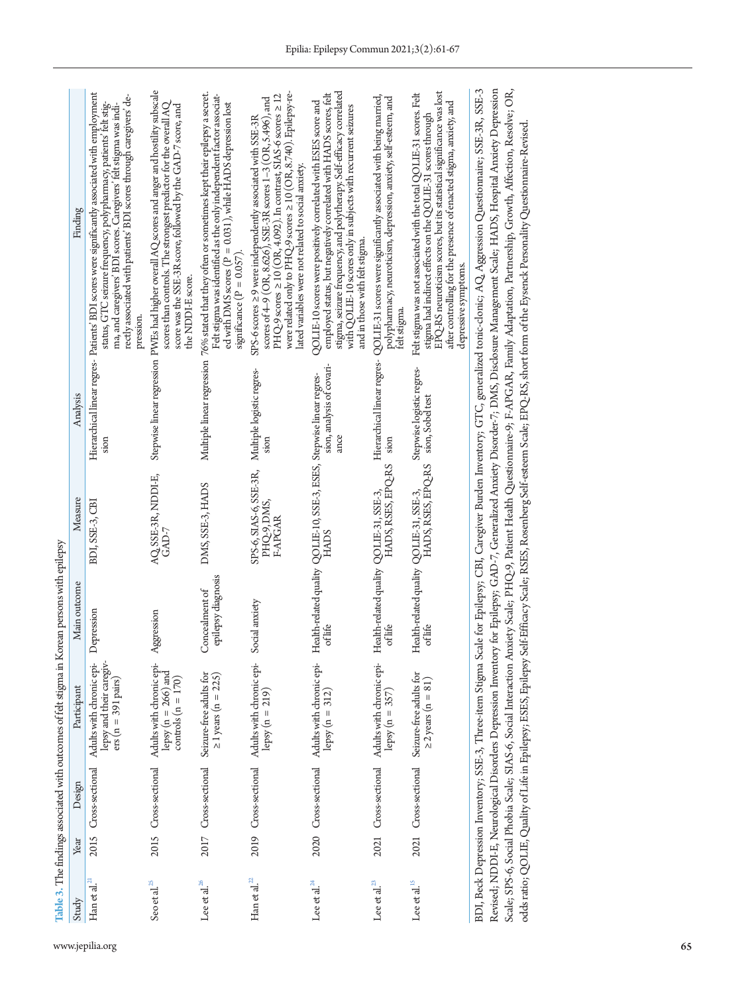| Study                               | Year | Design               | Participant                                                                  | Main outcome                                      | Measure                                                               | Analysis                                      | Finding                                                                                                                                                                                                                                                                                                                                                                                                                                                                                                                                                                                                                                                                                                                                                                         |
|-------------------------------------|------|----------------------|------------------------------------------------------------------------------|---------------------------------------------------|-----------------------------------------------------------------------|-----------------------------------------------|---------------------------------------------------------------------------------------------------------------------------------------------------------------------------------------------------------------------------------------------------------------------------------------------------------------------------------------------------------------------------------------------------------------------------------------------------------------------------------------------------------------------------------------------------------------------------------------------------------------------------------------------------------------------------------------------------------------------------------------------------------------------------------|
| $\operatorname{Ham}$ et al. $^{21}$ | 2015 | Cross-sectional      | lepsy and their caregiv-<br>Adults with chronic epi-<br>$ers(n = 391 pairs)$ | Depression                                        | BDI, SSE-3, CBI                                                       |                                               | Hierarchical linear regres- Patients' BDI scores were significantly associated with employment<br>rectly associated with patients' BDI scores through caregivers' de-<br>status, GTC seizure frequency, polypharmacy, patients' felt stig-<br>ma, and caregivers' BDI scores. Caregivers' felt stigma was indi-<br>pression                                                                                                                                                                                                                                                                                                                                                                                                                                                     |
| Seo et al. $^{25}$                  |      | 2015 Cross-sectional | Adults with chronic epi-<br>lepsy ( $n = 266$ ) and<br>controls $(n = 170)$  | Aggression                                        | AQ SSE-3R, NDDI-E,<br>$GAD-7$                                         |                                               | Stepwise linear regression PWEs had higher overall AQ scores and anger and hostility subscale<br>scores than controls. The strongest predictor for the overall AQ<br>score was the SSE-3R score, followed by the GAD-7 score, and<br>the NDDI-E score                                                                                                                                                                                                                                                                                                                                                                                                                                                                                                                           |
| Lee et al. $^{26}$                  |      | 2017 Cross-sectional | Seizure-free adults for<br>$\geq$ 1 years (n = 225)                          | epilepsy diagnosis<br>Concealment of              | DMS, SSE-3, HADS                                                      | Multiple linear regression                    | 76% stated that they often or sometimes kept their epilepsy a secret.<br>Felt stigma was identified as the only independent factor associat-<br>ed with DMS scores (P = 0.031), while HADS depression lost<br>significance $(P = 0.057)$                                                                                                                                                                                                                                                                                                                                                                                                                                                                                                                                        |
| $\operatorname{Ham}$ et al. $^{22}$ |      |                      | 2019 Cross-sectional Adults with chronic epi-<br>lepsy $(n = 219)$           | Social anxiety                                    | SPS-6, SIAS-6, SSE-3R,<br>PHQ-9, DMS,<br>F-APGAR                      | Multiple logistic regres-                     | were related only to $PHQ-9$ scores $\geq 10$ (OR, 8.740). Epilepsy-re-<br>PHQ-9 scores $\geq$ 10 (OR, 4.092). In contrast, SIAS-6 scores $\geq$ 12<br>scores of 4-9 (OR, 8.626), SSE-3R scores 1-3 (OR, 5.496), and<br>SPS-6 scores ≥ 9 were independently associated with SSE-3R<br>lated variables were not related to social anxiety.                                                                                                                                                                                                                                                                                                                                                                                                                                       |
| Lee et al. $^{24}$                  |      |                      | 2020 Cross-sectional Adults with chronic epi-<br>lepsy (n = 312)             | ot life                                           | Health-related quality QOLIE-10, SSE-3, ESES, Stepwise linear regres- | sion, analysis of covari-                     | stigma, seizure frequency, and polytherapy. Self-efficacy correlated<br>employed status, but negatively correlated with HADS scores, felt<br>QOLIE-10 scores were positively correlated with ESES score and<br>with QOLIE-10 scores only in subjects with recurrent seizures<br>and in those with felt stigma                                                                                                                                                                                                                                                                                                                                                                                                                                                                   |
| Lee et al. <sup>23</sup>            |      |                      | 2021 Cross-sectional Adults with chronic epi-<br>lepsy $(n = 357)$           | Health-related quality QOLIE-31, SSE-3,           | HADS, RSES, EPQ-RS                                                    | Hierarchical linear regres-<br>SIOID          | QOLIE-31 scores were significantly associated with being married,<br>polypharmacy, neuroticism, depression, anxiety, self-esteem, and<br>telt stigma                                                                                                                                                                                                                                                                                                                                                                                                                                                                                                                                                                                                                            |
| Lee et al. $^{15}$                  |      | 2021 Cross-sectional | Seizure-free adults for<br>$\geq$ 2 years (n = 81)                           | Health-related quality QOLIE-31, SSE-3,<br>oflife | HADS, RSES, EPQ-RS                                                    | Stepwise logistic regres-<br>sion, Sobel test | EPQ-RS neuroticism scores, but its statistical significance was lost<br>Felt stigma was not associated with the total QOLIE-31 scores. Felt<br>after controlling for the presence of enacted stigma, anxiety, and<br>stigma had indirect effects on the QOLIE-31 scores through<br>depressive symptoms                                                                                                                                                                                                                                                                                                                                                                                                                                                                          |
|                                     |      |                      |                                                                              |                                                   |                                                                       |                                               | BDI, Beck Depression Inventory; SSE-3, Three-item Stigma Scale for Epilepsy; CBI, Caregiver Burden Inventory; GTC, generalized tonic-clonic; AQ, Aggression Questionnaire; SSE-3R, SSE-3<br>Revised; NDDI-E, Neurological Disorders Depression Inventory for Epilepsy; GAD-7, Generalized Anxiety Disorder-7; DMS, Disclosure Management Scale; HADS, Hospital Anxiety Depression<br>Scale; SPS-6, Social Phobia Scale; SIAS-6, Social Interaction Anxiety Scale; PHQ-9, Patient Health Questionnaire-9; F-APGAR, Family Adaptation, Partnership, Growth, Affection, Resolve; OR,<br>odds ratio; QOLIE, Quality of Life in Epilepsy; ESES, Epilepsy Self-Efficacy Scale; RSES, Rosenberg Self-esteem Scale; EPQ-RS, short form of the Eysenck Personality Questionnaire-Revised |

<span id="page-4-0"></span>www.jepilia.org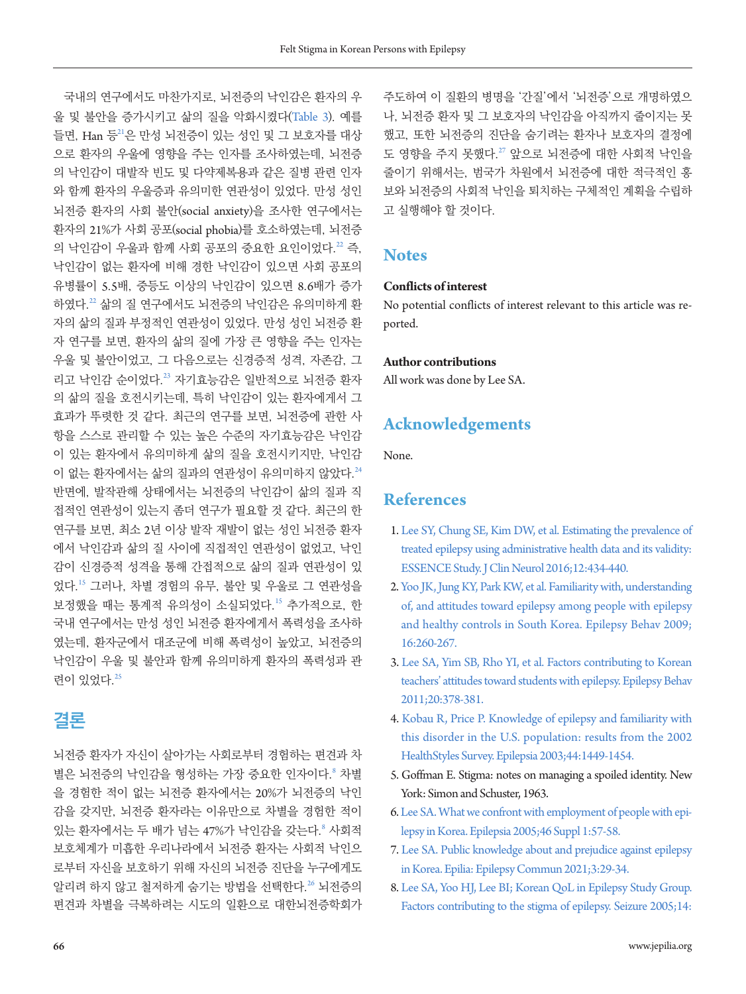국내의 연구에서도 마찬가지로, 뇌전증의 낙인감은 환자의 우 울 및 불안을 증가시키고 삶의 질을 악화시켰다([Table](#page-4-0) 3). 예를 들면, Han 등[21](#page-6-10)은 만성 뇌전증이 있는 성인 및 그 보호자를 대상 으로 환자의 우울에 영향을 주는 인자를 조사하였는데, 뇌전증 의 낙인감이 대발작 빈도 및 다약제복용과 같은 질병 관련 인자 와 함께 환자의 우울증과 유의미한 연관성이 있었다. 만성 성인 뇌전증 환자의 사회 불안(social anxiety)을 조사한 연구에서는 환자의 21%가 사회 공포(social phobia)를 호소하였는데, 뇌전증 의 낙인감이 우울과 함께 사회 공포의 중요한 요인이었다.<sup>[22](#page-6-15)</sup> 즉, 낙인감이 없는 환자에 비해 경한 낙인감이 있으면 사회 공포의 유병률이 5.5배, 중등도 이상의 낙인감이 있으면 8.6배가 증가 하였다.[22](#page-6-15) 삶의 질 연구에서도 뇌전증의 낙인감은 유의미하게 환 자의 삶의 질과 부정적인 연관성이 있었다. 만성 성인 뇌전증 환 자 연구를 보면, 환자의 삶의 질에 가장 큰 영향을 주는 인자는 우울 및 불안이었고, 그 다음으로는 신경증적 성격, 자존감, 그 리고 낙인감 순이었다.[23](#page-6-14) 자기효능감은 일반적으로 뇌전증 환자 의 삶의 질을 호전시키는데, 특히 낙인감이 있는 환자에게서 그 효과가 뚜렷한 것 같다. 최근의 연구를 보면, 뇌전증에 관한 사 항을 스스로 관리할 수 있는 높은 수준의 자기효능감은 낙인감 이 있는 환자에서 유의미하게 삶의 질을 호전시키지만, 낙인감 이 없는 환자에서는 삶의 질과의 연관성이 유의미하지 않았다.<sup>[24](#page-6-13)</sup> 반면에, 발작관해 상태에서는 뇌전증의 낙인감이 삶의 질과 직 접적인 연관성이 있는지 좀더 연구가 필요할 것 같다. 최근의 한 연구를 보면, 최소 2년 이상 발작 재발이 없는 성인 뇌전증 환자 에서 낙인감과 삶의 질 사이에 직접적인 연관성이 없었고, 낙인 감이 신경증적 성격을 통해 간접적으로 삶의 질과 연관성이 있 었다.<sup>15</sup> 그러나, 차별 경험의 유무, 불안 및 우울로 그 연관성을 보정했을 때는 통계적 유의성이 소실되었다.<sup>15</sup> 추가적으로, 한 국내 연구에서는 만성 성인 뇌전증 환자에게서 폭력성을 조사하 였는데, 환자군에서 대조군에 비해 폭력성이 높았고, 뇌전증의 낙인감이 우울 및 불안과 함께 유의미하게 환자의 폭력성과 관 려이 있었다.<sup>[25](#page-6-11)</sup>

# **결론**

뇌전증 환자가 자신이 살아가는 사회로부터 경험하는 편견과 차 별은 뇌전증의 낙인감을 형성하는 가장 중요한 인자이다. 3차별 을 경험한 적이 없는 뇌전증 환자에서는 20%가 뇌전증의 낙인 감을 갖지만, 뇌전증 환자라는 이유만으로 차별을 경험한 적이 있는 환자에서는 두 배가 넘는 47%가 낙인감을 갖는다.<sup>8</sup> 사회적 보호체계가 미흡한 우리나라에서 뇌전증 환자는 사회적 낙인으 로부터 자신을 보호하기 위해 자신의 뇌전증 진단을 누구에게도 알리려 하지 않고 철저하게 숨기는 방법을 선택한다.<sup>[26](#page-6-16)</sup> 뇌전증의 편견과 차별을 극복하려는 시도의 일환으로 대한뇌전증학회가

주도하여 이 질환의 병명을 '간질'에서 '뇌전증'으로 개명하였으 나, 뇌전증 환자 및 그 보호자의 낙인감을 아직까지 줄이지는 못 했고, 또한 뇌전증의 진단을 숨기려는 환자나 보호자의 결정에 도 영향을 주지 못했다.<sup>[27](#page-6-17)</sup> 앞으로 뇌전증에 대한 사회적 낙인을 줄이기 위해서는, 범국가 차원에서 뇌전증에 대한 적극적인 홍 보와 뇌전증의 사회적 낙인을 퇴치하는 구체적인 계획을 수립하 고 실행해야 할 것이다.

### **Notes**

#### **Conflicts of interest**

No potential conflicts of interest relevant to this article was reported.

#### **Author contributions**

All work was done by Lee SA.

### **Acknowledgements**

None.

### **References**

- <span id="page-5-0"></span>[1. Lee SY, Chung SE, Kim DW, et al. Estimating the prevalence of](https://doi.org/10.3988/jcn.2016.12.4.434)  [treated epilepsy using administrative health data and its validity:](https://doi.org/10.3988/jcn.2016.12.4.434)  [ESSENCE Study. J Clin Neurol 2016;12:434-440.](https://doi.org/10.3988/jcn.2016.12.4.434)
- <span id="page-5-1"></span>[2. Yoo JK, Jung KY, Park KW, et al. Familiarity with, understanding](https://doi.org/10.1016/j.yebeh.2009.07.025)  [of, and attitudes toward epilepsy among people with epilepsy](https://doi.org/10.1016/j.yebeh.2009.07.025)  [and healthy controls in South Korea. Epilepsy Behav 2009;](https://doi.org/10.1016/j.yebeh.2009.07.025) [16:260-267.](https://doi.org/10.1016/j.yebeh.2009.07.025)
- 3. [Lee SA, Yim SB, Rho YI, et al. Factors contributing to Korean](https://doi.org/10.1016/j.yebeh.2010.11.021)  [teachers' attitudes toward students with epilepsy. Epilepsy Behav](https://doi.org/10.1016/j.yebeh.2010.11.021)  [2011;20:378-381.](https://doi.org/10.1016/j.yebeh.2010.11.021)
- <span id="page-5-2"></span>4. Kobau R, Price P. Knowledge of epilepsy and familiarity with this disorder in the U.S. population: results from the 2002 HealthStyles Surve[y. Epilepsia 2003;44:1449-1454.](https://doi.org/10.1046/j.1528-1157.2003.17603.x)
- <span id="page-5-3"></span>5. Goffman E. Stigma: notes on managing a spoiled identity. New York: Simon and Schuster, 1963.
- <span id="page-5-4"></span>[6. Lee SA. What we confront with employment of people with epi](https://doi.org/10.1111/j.0013-9580.2005.461018.x)[lepsy in Korea. Epilepsia 2005;46 Suppl 1:57-58.](https://doi.org/10.1111/j.0013-9580.2005.461018.x)
- <span id="page-5-5"></span>[7. Lee SA. Public knowledge about and prejudice against epilepsy](https://doi.org/10.35615/epilia.2021.00206)  [in Korea. Epilia: Epilepsy Commun 2021;3:29-34](https://doi.org/10.35615/epilia.2021.00206).
- <span id="page-5-6"></span>8. Lee SA, [Yoo HJ, Lee BI; Korean QoL in Epilepsy Study Group.](https://doi.org/10.1016/j.seizure.2005.01.001)  [Factors contributing to the stigma of epilepsy. Seizure 2005;14:](https://doi.org/10.1016/j.seizure.2005.01.001)